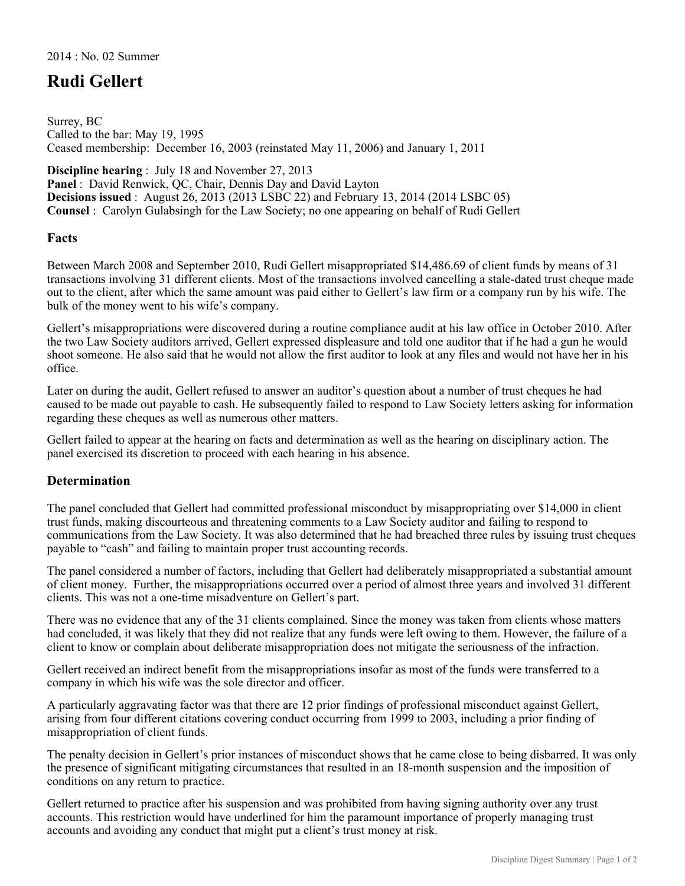## **Rudi Gellert**

Surrey, BC Called to the bar: May 19, 1995 Ceased membership: December 16, 2003 (reinstated May 11, 2006) and January 1, 2011

**Discipline hearing** : July 18 and November 27, 2013

**Panel** : David Renwick, QC, Chair, Dennis Day and David Layton **Decisions issued** : August 26, 2013 (2013 LSBC 22) and February 13, 2014 (2014 LSBC 05) **Counsel** : Carolyn Gulabsingh for the Law Society; no one appearing on behalf of Rudi Gellert

## **Facts**

Between March 2008 and September 2010, Rudi Gellert misappropriated \$14,486.69 of client funds by means of 31 transactions involving 31 different clients. Most of the transactions involved cancelling a stale-dated trust cheque made out to the client, after which the same amount was paid either to Gellert's law firm or a company run by his wife. The bulk of the money went to his wife's company.

Gellert's misappropriations were discovered during a routine compliance audit at his law office in October 2010. After the two Law Society auditors arrived, Gellert expressed displeasure and told one auditor that if he had a gun he would shoot someone. He also said that he would not allow the first auditor to look at any files and would not have her in his office.

Later on during the audit, Gellert refused to answer an auditor's question about a number of trust cheques he had caused to be made out payable to cash. He subsequently failed to respond to Law Society letters asking for information regarding these cheques as well as numerous other matters.

Gellert failed to appear at the hearing on facts and determination as well as the hearing on disciplinary action. The panel exercised its discretion to proceed with each hearing in his absence.

## **Determination**

The panel concluded that Gellert had committed professional misconduct by misappropriating over \$14,000 in client trust funds, making discourteous and threatening comments to a Law Society auditor and failing to respond to communications from the Law Society. It was also determined that he had breached three rules by issuing trust cheques payable to "cash" and failing to maintain proper trust accounting records.

The panel considered a number of factors, including that Gellert had deliberately misappropriated a substantial amount of client money. Further, the misappropriations occurred over a period of almost three years and involved 31 different clients. This was not a one-time misadventure on Gellert's part.

There was no evidence that any of the 31 clients complained. Since the money was taken from clients whose matters had concluded, it was likely that they did not realize that any funds were left owing to them. However, the failure of a client to know or complain about deliberate misappropriation does not mitigate the seriousness of the infraction.

Gellert received an indirect benefit from the misappropriations insofar as most of the funds were transferred to a company in which his wife was the sole director and officer.

A particularly aggravating factor was that there are 12 prior findings of professional misconduct against Gellert, arising from four different citations covering conduct occurring from 1999 to 2003, including a prior finding of misappropriation of client funds.

The penalty decision in Gellert's prior instances of misconduct shows that he came close to being disbarred. It was only the presence of significant mitigating circumstances that resulted in an 18-month suspension and the imposition of conditions on any return to practice.

Gellert returned to practice after his suspension and was prohibited from having signing authority over any trust accounts. This restriction would have underlined for him the paramount importance of properly managing trust accounts and avoiding any conduct that might put a client's trust money at risk.